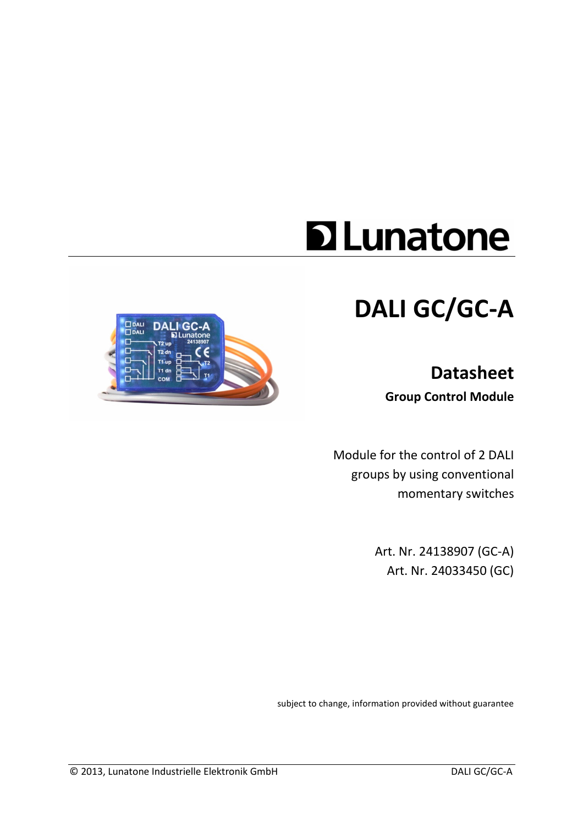# **D**Lunatone

# **DALI GC/GC-A**

# **Datasheet Group Control Module**



Art. Nr. 24138907 (GC-A) Art. Nr. 24033450 (GC)

subject to change, information provided without guarantee

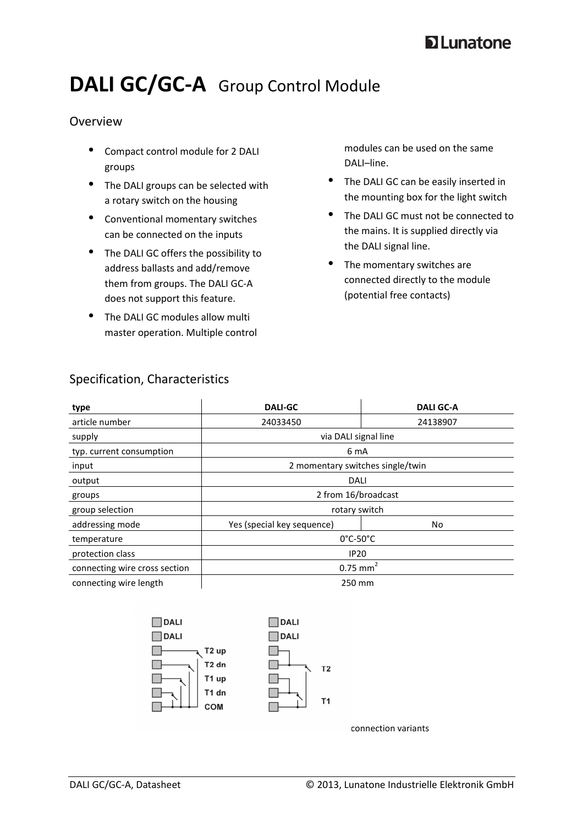# **D** Lunatone

# DALI GC/GC-A Group Control Module

### Overview

- Compact control module for 2 DALI groups
- The DALI groups can be selected with a rotary switch on the housing
- Conventional momentary switches can be connected on the inputs
- The DALI GC offers the possibility to address ballasts and add/remove them from groups. The DALI GC-A does not support this feature.
- The DALI GC modules allow multi master operation. Multiple control

modules can be used on the same DALI–line.

- The DALI GC can be easily inserted in the mounting box for the light switch
- The DALI GC must not be connected to the mains. It is supplied directly via the DALI signal line.
- The momentary switches are connected directly to the module (potential free contacts)

| type                          | <b>DALI-GC</b>                   | <b>DALI GC-A</b> |  |
|-------------------------------|----------------------------------|------------------|--|
| article number                | 24033450                         | 24138907         |  |
| supply                        | via DALI signal line             |                  |  |
| typ. current consumption      | 6 mA                             |                  |  |
| input                         | 2 momentary switches single/twin |                  |  |
| output                        | DALI                             |                  |  |
| groups                        | 2 from 16/broadcast              |                  |  |
| group selection               | rotary switch                    |                  |  |
| addressing mode               | Yes (special key sequence)       | No               |  |
| temperature                   | $0^{\circ}$ C-50 $^{\circ}$ C    |                  |  |
| protection class              | <b>IP20</b>                      |                  |  |
| connecting wire cross section | $0.75$ mm <sup>2</sup>           |                  |  |
| connecting wire length        | 250 mm                           |                  |  |



connection variants

# Specification, Characteristics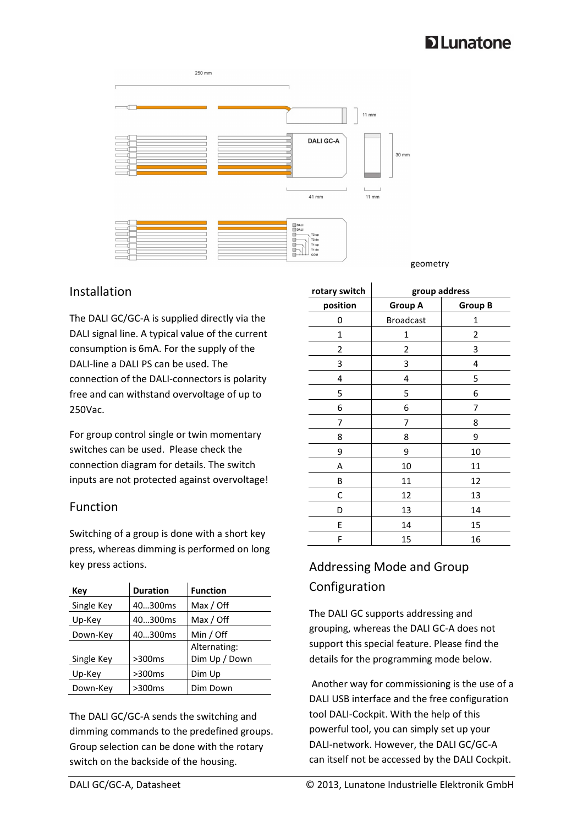# **D**Lunatone



#### geometry

#### Installation

The DALI GC/GC-A is supplied directly via the DALI signal line. A typical value of the current consumption is 6mA. For the supply of the DALI-line a DALI PS can be used. The connection of the DALI-connectors is polarity free and can withstand overvoltage of up to 250Vac.

For group control single or twin momentary switches can be used. Please check the connection diagram for details. The switch inputs are not protected against overvoltage!

### Function

Switching of a group is done with a short key press, whereas dimming is performed on long key press actions.

| Key        | <b>Duration</b> | <b>Function</b> |
|------------|-----------------|-----------------|
| Single Key | 40300ms         | Max / Off       |
| Up-Key     | 40300ms         | Max / Off       |
| Down-Key   | 40300ms         | Min / Off       |
|            |                 | Alternating:    |
| Single Key | >300ms          | Dim Up / Down   |
| Up-Key     | >300ms          | Dim Up          |
| Down-Key   | >300ms          | Dim Down        |

The DALI GC/GC-A sends the switching and dimming commands to the predefined groups. Group selection can be done with the rotary switch on the backside of the housing.

| rotary switch | group address    |                |
|---------------|------------------|----------------|
| position      | Group A          | <b>Group B</b> |
| 0             | <b>Broadcast</b> | 1              |
| 1             | 1                | 2              |
| 2             | 2                | 3              |
| 3             | 3                | 4              |
| 4             | 4                | 5              |
| 5             | 5                | 6              |
| 6             | 6                | 7              |
| 7             | 7                | 8              |
| 8             | 8                | 9              |
| 9             | 9                | 10             |
| Α             | 10               | 11             |
| В             | 11               | 12             |
| С             | 12               | 13             |
| D             | 13               | 14             |
| E             | 14               | 15             |
| F             | 15               | 16             |

# Addressing Mode and Group Configuration

The DALI GC supports addressing and grouping, whereas the DALI GC-A does not support this special feature. Please find the details for the programming mode below.

 Another way for commissioning is the use of a DALI USB interface and the free configuration tool DALI-Cockpit. With the help of this powerful tool, you can simply set up your DALI-network. However, the DALI GC/GC-A can itself not be accessed by the DALI Cockpit.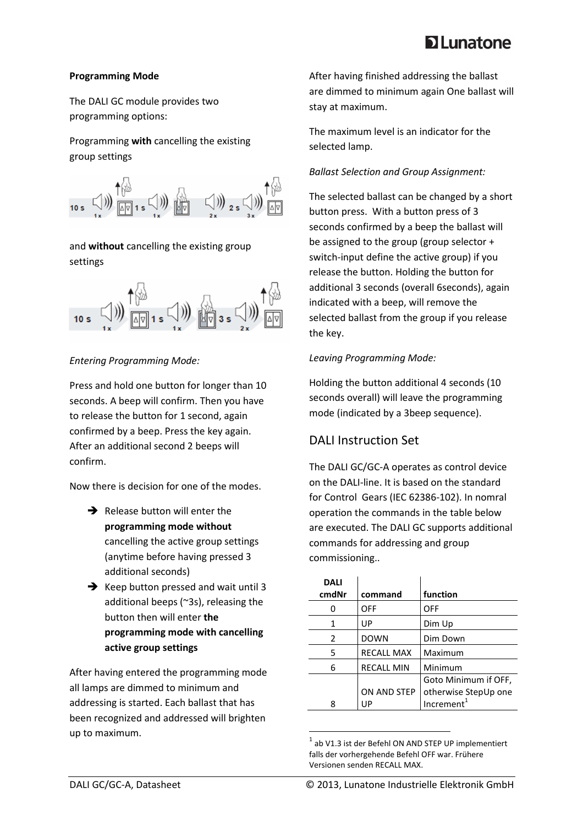# **D** Lunatone

#### **Programming Mode**

The DALI GC module provides two programming options:

Programming **with** cancelling the existing group settings



and **without** cancelling the existing group settings



#### *Entering Programming Mode:*

Press and hold one button for longer than 10 seconds. A beep will confirm. Then you have to release the button for 1 second, again confirmed by a beep. Press the key again. After an additional second 2 beeps will confirm.

Now there is decision for one of the modes.

- $\rightarrow$  Release button will enter the **programming mode without**  cancelling the active group settings (anytime before having pressed 3 additional seconds)
- $\rightarrow$  Keep button pressed and wait until 3 additional beeps (~3s), releasing the button then will enter **the programming mode with cancelling active group settings**

After having entered the programming mode all lamps are dimmed to minimum and addressing is started. Each ballast that has been recognized and addressed will brighten up to maximum.

After having finished addressing the ballast are dimmed to minimum again One ballast will stay at maximum.

The maximum level is an indicator for the selected lamp.

#### *Ballast Selection and Group Assignment:*

The selected ballast can be changed by a short button press. With a button press of 3 seconds confirmed by a beep the ballast will be assigned to the group (group selector + switch-input define the active group) if you release the button. Holding the button for additional 3 seconds (overall 6seconds), again indicated with a beep, will remove the selected ballast from the group if you release the key.

#### *Leaving Programming Mode:*

Holding the button additional 4 seconds (10 seconds overall) will leave the programming mode (indicated by a 3beep sequence).

# DALI Instruction Set

The DALI GC/GC-A operates as control device on the DALI-line. It is based on the standard for Control Gears (IEC 62386-102). In nomral operation the commands in the table below are executed. The DALI GC supports additional commands for addressing and group commissioning..

| <b>DALI</b>   |                   |                        |
|---------------|-------------------|------------------------|
| cmdNr         | command           | function               |
| O             | OFF               | OFF                    |
| 1             | UP                | Dim Up                 |
| $\mathcal{P}$ | <b>DOWN</b>       | Dim Down               |
| 5             | <b>RECALL MAX</b> | Maximum                |
| 6             | <b>RECALL MIN</b> | Minimum                |
|               |                   | Goto Minimum if OFF,   |
|               | ON AND STEP       | otherwise StepUp one   |
| 8             | UP                | Increment <sup>1</sup> |

 $^{1}$  ab V1.3 ist der Befehl ON AND STEP UP implementiert falls der vorhergehende Befehl OFF war. Frühere Versionen senden RECALL MAX.

 $\overline{\phantom{a}}$